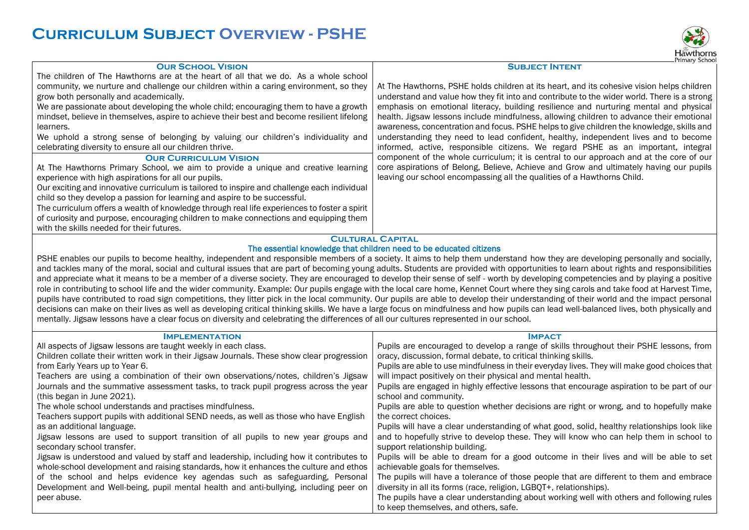## **Curriculum Subject Overview - PSHE**



## **Our School Vision** The children of The Hawthorns are at the heart of all that we do. As a whole school community, we nurture and challenge our children within a caring environment, so they grow both personally and academically. We are passionate about developing the whole child; encouraging them to have a growth mindset, believe in themselves, aspire to achieve their best and become resilient lifelong learners. We uphold a strong sense of belonging by valuing our children's individuality and celebrating diversity to ensure all our children thrive. **Subject Intent** At The Hawthorns, PSHE holds children at its heart, and its cohesive vision helps children understand and value how they fit into and contribute to the wider world. There is a strong emphasis on emotional literacy, building resilience and nurturing mental and physical health. Jigsaw lessons include mindfulness, allowing children to advance their emotional awareness, concentration and focus. PSHE helps to give children the knowledge, skills and understanding they need to lead confident, healthy, independent lives and to become informed, active, responsible citizens. We regard PSHE as an important, integral component of the whole curriculum; it is central to our approach and at the core of our core aspirations of Belong, Believe, Achieve and Grow and ultimately having our pupils leaving our school encompassing all the qualities of a Hawthorns Child. **OUR CURRICULUM VISION** At The Hawthorns Primary School, we aim to provide a unique and creative learning experience with high aspirations for all our pupils. Our exciting and innovative curriculum is tailored to inspire and challenge each individual child so they develop a passion for learning and aspire to be successful. The curriculum offers a wealth of knowledge through real life experiences to foster a spirit of curiosity and purpose, encouraging children to make connections and equipping them with the skills needed for their futures.

## **Cultural Capital**

## The essential knowledge that children need to be educated citizens

PSHE enables our pupils to become healthy, independent and responsible members of a society. It aims to help them understand how they are developing personally and socially, and tackles many of the moral, social and cultural issues that are part of becoming young adults. Students are provided with opportunities to learn about rights and responsibilities and appreciate what it means to be a member of a diverse society. They are encouraged to develop their sense of self - worth by developing competencies and by playing a positive role in contributing to school life and the wider community. Example: Our pupils engage with the local care home. Kennet Court where they sing carols and take food at Harvest Time, pupils have contributed to road sign competitions, they litter pick in the local community. Our pupils are able to develop their understanding of their world and the impact personal decisions can make on their lives as well as developing critical thinking skills. We have a large focus on mindfulness and how pupils can lead well-balanced lives, both physically and mentally. Jigsaw lessons have a clear focus on diversity and celebrating the differences of all our cultures represented in our school.

| <b>IMPLEMENTATION</b>                                                                      | <b>IMPACT</b>                                                                                |
|--------------------------------------------------------------------------------------------|----------------------------------------------------------------------------------------------|
| All aspects of Jigsaw lessons are taught weekly in each class.                             | Pupils are encouraged to develop a range of skills throughout their PSHE lessons, from       |
| Children collate their written work in their Jigsaw Journals. These show clear progression | oracy, discussion, formal debate, to critical thinking skills.                               |
| from Early Years up to Year 6.                                                             | Pupils are able to use mindfulness in their everyday lives. They will make good choices that |
| Teachers are using a combination of their own observations/notes, children's Jigsaw        | will impact positively on their physical and mental health.                                  |
| Journals and the summative assessment tasks, to track pupil progress across the year       | Pupils are engaged in highly effective lessons that encourage aspiration to be part of our   |
| (this began in June 2021).                                                                 | school and community.                                                                        |
| The whole school understands and practises mindfulness.                                    | Pupils are able to question whether decisions are right or wrong, and to hopefully make      |
| Teachers support pupils with additional SEND needs, as well as those who have English      | the correct choices.                                                                         |
| as an additional language.                                                                 | Pupils will have a clear understanding of what good, solid, healthy relationships look like  |
| Jigsaw lessons are used to support transition of all pupils to new year groups and         | and to hopefully strive to develop these. They will know who can help them in school to      |
| secondary school transfer.                                                                 | support relationship building.                                                               |
| Jigsaw is understood and valued by staff and leadership, including how it contributes to   | Pupils will be able to dream for a good outcome in their lives and will be able to set       |
| whole-school development and raising standards, how it enhances the culture and ethos      | achievable goals for themselves.                                                             |
| of the school and helps evidence key agendas such as safeguarding, Personal                | The pupils will have a tolerance of those people that are different to them and embrace      |
| Development and Well-being, pupil mental health and anti-bullying, including peer on       | diversity in all its forms (race, religion, LGBQT+, relationships).                          |
| peer abuse.                                                                                | The pupils have a clear understanding about working well with others and following rules     |
|                                                                                            | to keep themselves, and others, safe.                                                        |